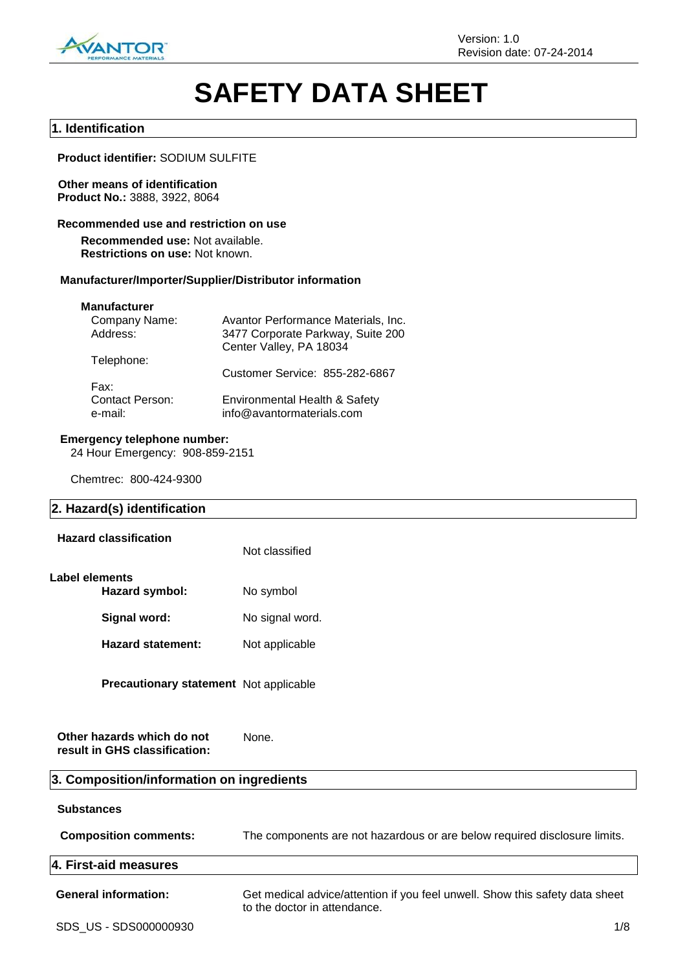

# **SAFETY DATA SHEET**

#### **1. Identification**

**Product identifier:** SODIUM SULFITE

# **Other means of identification**

**Product No.:** 3888, 3922, 8064

#### **Recommended use and restriction on use**

**Recommended use:** Not available. **Restrictions on use:** Not known.

#### **Manufacturer/Importer/Supplier/Distributor information**

#### **Manufacturer**

| Avantor Performance Materials, Inc.                        |
|------------------------------------------------------------|
| 3477 Corporate Parkway, Suite 200                          |
| Center Valley, PA 18034                                    |
|                                                            |
| Customer Service: 855-282-6867                             |
|                                                            |
| Environmental Health & Safety<br>info@avantormaterials.com |
|                                                            |

#### **Emergency telephone number:**

24 Hour Emergency: 908-859-2151

Chemtrec: 800-424-9300

#### **2. Hazard(s) identification**

| <b>Hazard classification</b>                  | Not classified  |
|-----------------------------------------------|-----------------|
| Label elements<br>Hazard symbol:              | No symbol       |
| Signal word:                                  | No signal word. |
| Hazard statement:                             | Not applicable  |
| <b>Precautionary statement</b> Not applicable |                 |

**Other hazards which do not result in GHS classification:** None.

# **3. Composition/information on ingredients**

| <b>Substances</b>            |                                                                                                              |
|------------------------------|--------------------------------------------------------------------------------------------------------------|
| <b>Composition comments:</b> | The components are not hazardous or are below required disclosure limits.                                    |
| 4. First-aid measures        |                                                                                                              |
| <b>General information:</b>  | Get medical advice/attention if you feel unwell. Show this safety data sheet<br>to the doctor in attendance. |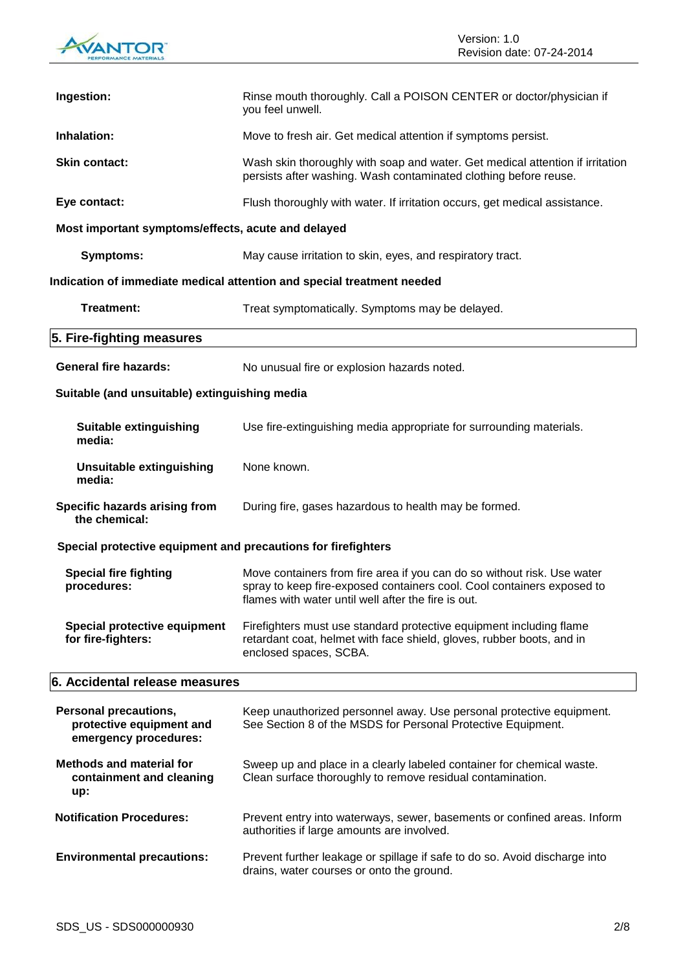

| Ingestion:                                                                        | Rinse mouth thoroughly. Call a POISON CENTER or doctor/physician if<br>you feel unwell.                                                                                                                  |  |
|-----------------------------------------------------------------------------------|----------------------------------------------------------------------------------------------------------------------------------------------------------------------------------------------------------|--|
| Inhalation:                                                                       | Move to fresh air. Get medical attention if symptoms persist.                                                                                                                                            |  |
| <b>Skin contact:</b>                                                              | Wash skin thoroughly with soap and water. Get medical attention if irritation<br>persists after washing. Wash contaminated clothing before reuse.                                                        |  |
| Eye contact:                                                                      | Flush thoroughly with water. If irritation occurs, get medical assistance.                                                                                                                               |  |
| Most important symptoms/effects, acute and delayed                                |                                                                                                                                                                                                          |  |
| <b>Symptoms:</b>                                                                  | May cause irritation to skin, eyes, and respiratory tract.                                                                                                                                               |  |
|                                                                                   | Indication of immediate medical attention and special treatment needed                                                                                                                                   |  |
| Treatment:                                                                        | Treat symptomatically. Symptoms may be delayed.                                                                                                                                                          |  |
| 5. Fire-fighting measures                                                         |                                                                                                                                                                                                          |  |
| <b>General fire hazards:</b>                                                      | No unusual fire or explosion hazards noted.                                                                                                                                                              |  |
| Suitable (and unsuitable) extinguishing media                                     |                                                                                                                                                                                                          |  |
| <b>Suitable extinguishing</b><br>media:                                           | Use fire-extinguishing media appropriate for surrounding materials.                                                                                                                                      |  |
| Unsuitable extinguishing<br>media:                                                | None known.                                                                                                                                                                                              |  |
| Specific hazards arising from<br>the chemical:                                    | During fire, gases hazardous to health may be formed.                                                                                                                                                    |  |
| Special protective equipment and precautions for firefighters                     |                                                                                                                                                                                                          |  |
| <b>Special fire fighting</b><br>procedures:                                       | Move containers from fire area if you can do so without risk. Use water<br>spray to keep fire-exposed containers cool. Cool containers exposed to<br>flames with water until well after the fire is out. |  |
| Special protective equipment<br>for fire-fighters:                                | Firefighters must use standard protective equipment including flame<br>retardant coat, helmet with face shield, gloves, rubber boots, and in<br>enclosed spaces, SCBA.                                   |  |
| 6. Accidental release measures                                                    |                                                                                                                                                                                                          |  |
| <b>Personal precautions,</b><br>protective equipment and<br>emergency procedures: | Keep unauthorized personnel away. Use personal protective equipment.<br>See Section 8 of the MSDS for Personal Protective Equipment.                                                                     |  |
| <b>Methods and material for</b><br>containment and cleaning<br>up:                | Sweep up and place in a clearly labeled container for chemical waste.<br>Clean surface thoroughly to remove residual contamination.                                                                      |  |
| <b>Notification Procedures:</b>                                                   | Prevent entry into waterways, sewer, basements or confined areas. Inform<br>authorities if large amounts are involved.                                                                                   |  |
| <b>Environmental precautions:</b>                                                 | Prevent further leakage or spillage if safe to do so. Avoid discharge into<br>drains, water courses or onto the ground.                                                                                  |  |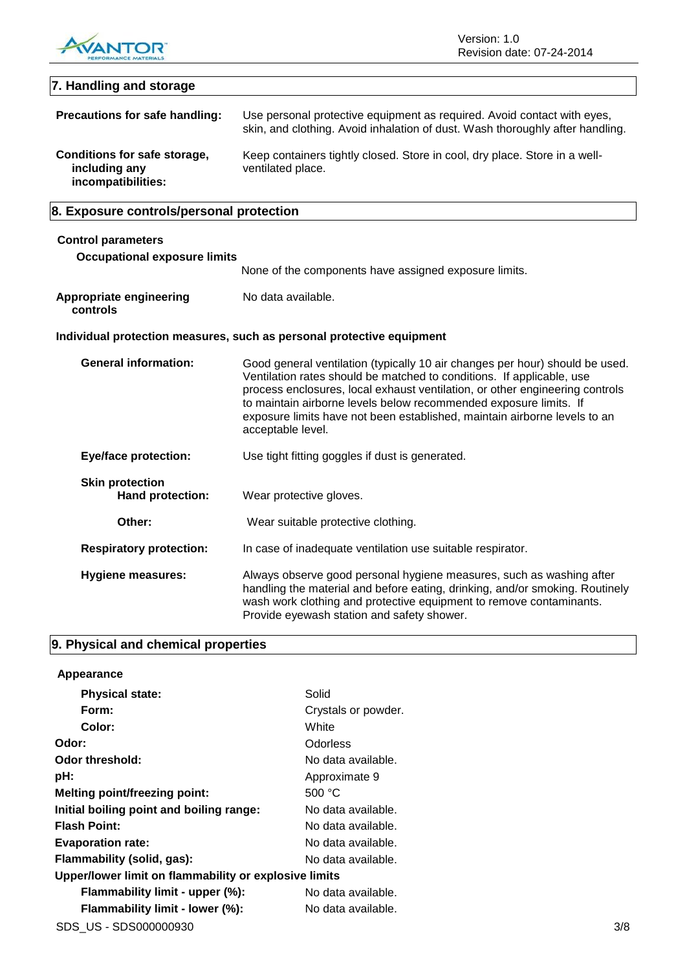

# **7. Handling and storage Precautions for safe handling:** Use personal protective equipment as required. Avoid contact with eyes, skin, and clothing. Avoid inhalation of dust. Wash thoroughly after handling. **Conditions for safe storage, including any incompatibilities:** Keep containers tightly closed. Store in cool, dry place. Store in a wellventilated place.

# **8. Exposure controls/personal protection**

| <b>Control parameters</b><br><b>Occupational exposure limits</b> |                                                                                                                                                                                                                                                                                                                                                                                                              |
|------------------------------------------------------------------|--------------------------------------------------------------------------------------------------------------------------------------------------------------------------------------------------------------------------------------------------------------------------------------------------------------------------------------------------------------------------------------------------------------|
|                                                                  | None of the components have assigned exposure limits.                                                                                                                                                                                                                                                                                                                                                        |
| <b>Appropriate engineering</b><br>controls                       | No data available.                                                                                                                                                                                                                                                                                                                                                                                           |
|                                                                  | Individual protection measures, such as personal protective equipment                                                                                                                                                                                                                                                                                                                                        |
| <b>General information:</b>                                      | Good general ventilation (typically 10 air changes per hour) should be used.<br>Ventilation rates should be matched to conditions. If applicable, use<br>process enclosures, local exhaust ventilation, or other engineering controls<br>to maintain airborne levels below recommended exposure limits. If<br>exposure limits have not been established, maintain airborne levels to an<br>acceptable level. |
| <b>Eye/face protection:</b>                                      | Use tight fitting goggles if dust is generated.                                                                                                                                                                                                                                                                                                                                                              |
| <b>Skin protection</b><br>Hand protection:                       | Wear protective gloves.                                                                                                                                                                                                                                                                                                                                                                                      |
| Other:                                                           | Wear suitable protective clothing.                                                                                                                                                                                                                                                                                                                                                                           |
| <b>Respiratory protection:</b>                                   | In case of inadequate ventilation use suitable respirator.                                                                                                                                                                                                                                                                                                                                                   |

| Hygiene measures: | Always observe good personal hygiene measures, such as washing after<br>handling the material and before eating, drinking, and/or smoking. Routinely<br>wash work clothing and protective equipment to remove contaminants. |
|-------------------|-----------------------------------------------------------------------------------------------------------------------------------------------------------------------------------------------------------------------------|
|                   | Provide eyewash station and safety shower.                                                                                                                                                                                  |

# **9. Physical and chemical properties**

## **Appearance**

| <b>Physical state:</b>                                | Solid               |     |
|-------------------------------------------------------|---------------------|-----|
| Form:                                                 | Crystals or powder. |     |
| Color:                                                | White               |     |
| Odor:                                                 | <b>Odorless</b>     |     |
| Odor threshold:                                       | No data available.  |     |
| pH:                                                   | Approximate 9       |     |
| <b>Melting point/freezing point:</b>                  | 500 °C              |     |
| Initial boiling point and boiling range:              | No data available.  |     |
| <b>Flash Point:</b>                                   | No data available.  |     |
| <b>Evaporation rate:</b>                              | No data available.  |     |
| Flammability (solid, gas):                            | No data available.  |     |
| Upper/lower limit on flammability or explosive limits |                     |     |
| Flammability limit - upper (%):                       | No data available.  |     |
| Flammability limit - lower (%):                       | No data available.  |     |
| SDS US - SDS000000930                                 |                     | 3/8 |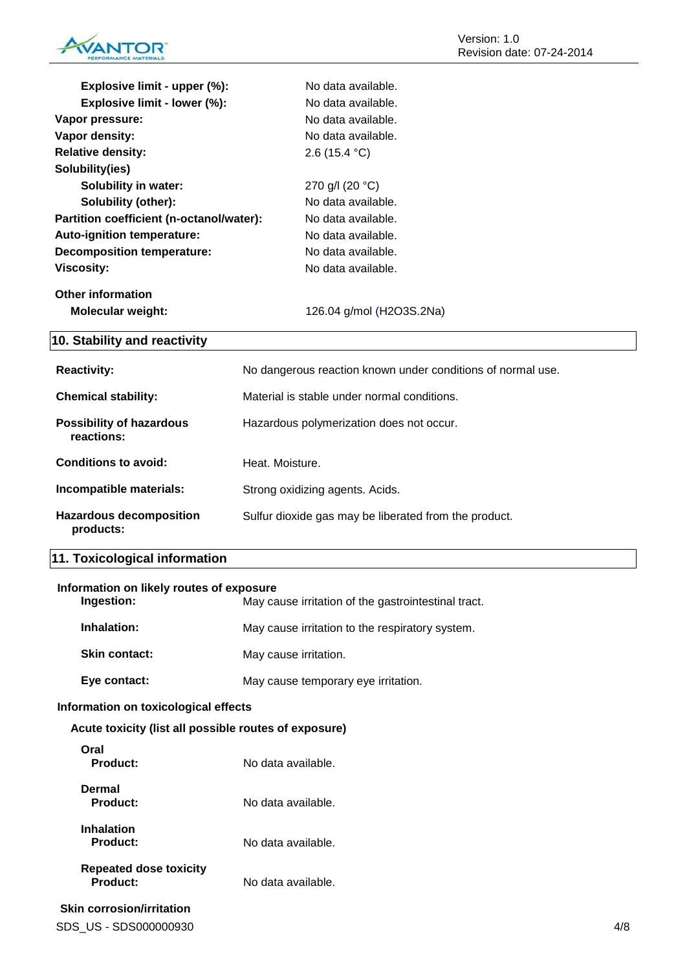

| Explosive limit - upper (%):             | No data available.                                          |
|------------------------------------------|-------------------------------------------------------------|
| Explosive limit - lower (%):             | No data available.                                          |
| Vapor pressure:                          | No data available.                                          |
| Vapor density:                           | No data available.                                          |
| <b>Relative density:</b>                 | 2.6 (15.4 °C)                                               |
| Solubility(ies)                          |                                                             |
| <b>Solubility in water:</b>              | 270 g/l (20 °C)                                             |
| Solubility (other):                      | No data available.                                          |
| Partition coefficient (n-octanol/water): | No data available.                                          |
| Auto-ignition temperature:               | No data available.                                          |
| <b>Decomposition temperature:</b>        | No data available.                                          |
| <b>Viscosity:</b>                        | No data available.                                          |
| <b>Other information</b>                 |                                                             |
| Molecular weight:                        | 126.04 g/mol (H2O3S.2Na)                                    |
|                                          |                                                             |
| 10. Stability and reactivity             |                                                             |
| <b>Reactivity:</b>                       | No dangerous reaction known under conditions of normal use. |
| <b>Chemical stability:</b>               | Material is stable under normal conditions.                 |
| <b>Possibility of hazardous</b>          |                                                             |
| reactions:                               | Hazardous polymerization does not occur.                    |
| <b>Conditions to avoid:</b>              | Heat. Moisture.                                             |
| Incompatible materials:                  | Strong oxidizing agents. Acids.                             |

# **11. Toxicological information**

## **Information on likely routes of exposure**

| Ingestion:           | May cause irritation of the gastrointestinal tract. |
|----------------------|-----------------------------------------------------|
| Inhalation:          | May cause irritation to the respiratory system.     |
| <b>Skin contact:</b> | May cause irritation.                               |
| Eye contact:         | May cause temporary eye irritation.                 |

#### **Information on toxicological effects**

#### **Acute toxicity (list all possible routes of exposure)**

| Oral<br>Product:                          | No data available. |
|-------------------------------------------|--------------------|
| Dermal<br>Product:                        | No data available. |
| <b>Inhalation</b><br>Product:             | No data available. |
| <b>Repeated dose toxicity</b><br>Product: | No data available. |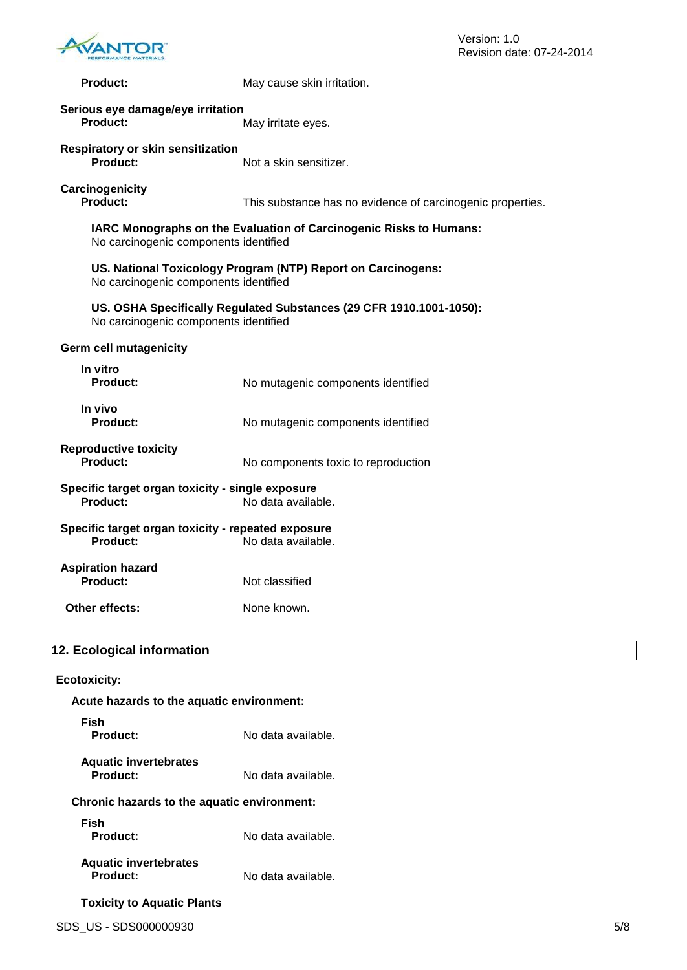

| <b>Product:</b>                                                       | May cause skin irritation.                                          |
|-----------------------------------------------------------------------|---------------------------------------------------------------------|
| Serious eye damage/eye irritation<br>Product:                         | May irritate eyes.                                                  |
| <b>Respiratory or skin sensitization</b><br><b>Product:</b>           | Not a skin sensitizer.                                              |
| Carcinogenicity<br>Product:                                           | This substance has no evidence of carcinogenic properties.          |
| No carcinogenic components identified                                 | IARC Monographs on the Evaluation of Carcinogenic Risks to Humans:  |
| No carcinogenic components identified                                 | US. National Toxicology Program (NTP) Report on Carcinogens:        |
| No carcinogenic components identified                                 | US. OSHA Specifically Regulated Substances (29 CFR 1910.1001-1050): |
| <b>Germ cell mutagenicity</b>                                         |                                                                     |
| In vitro<br><b>Product:</b>                                           | No mutagenic components identified                                  |
| In vivo<br><b>Product:</b>                                            | No mutagenic components identified                                  |
| <b>Reproductive toxicity</b><br>Product:                              | No components toxic to reproduction                                 |
| Specific target organ toxicity - single exposure<br>Product:          | No data available.                                                  |
| Specific target organ toxicity - repeated exposure<br><b>Product:</b> | No data available.                                                  |
| <b>Aspiration hazard</b><br><b>Product:</b>                           | Not classified                                                      |
| Other effects:                                                        | None known.                                                         |
| 12. Ecological information                                            |                                                                     |
| <b>Ecotoxicity:</b>                                                   |                                                                     |
|                                                                       |                                                                     |

# **Acute hazards to the aquatic environment: Fish** No data available. **Aquatic invertebrates** No data available. **Chronic hazards to the aquatic environment: Fish** No data available. **Aquatic invertebrates** No data available. **Toxicity to Aquatic Plants**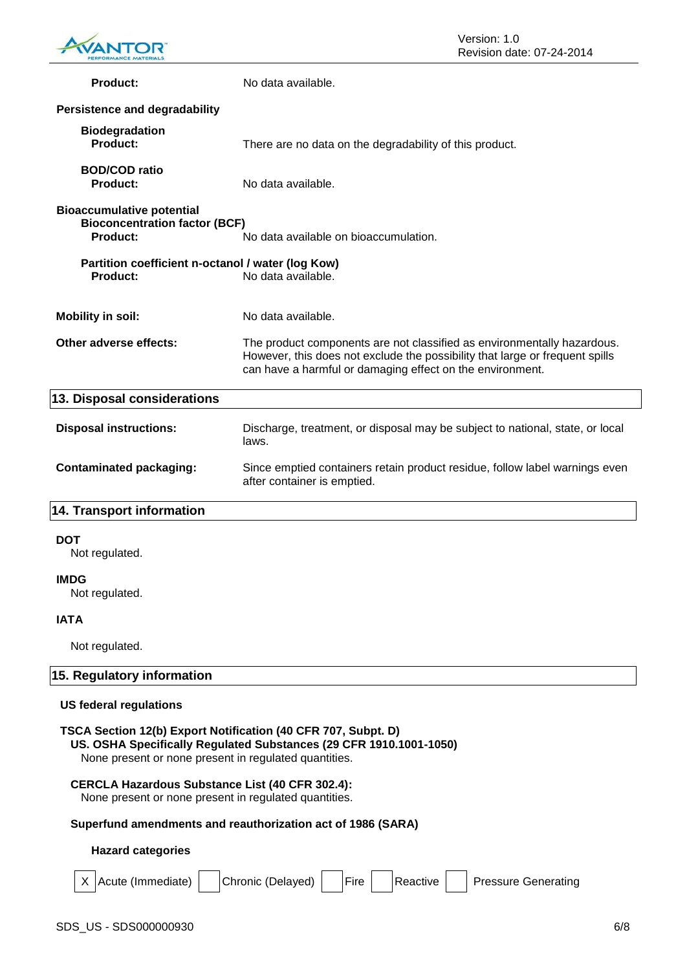

| <b>Product:</b>                                                                             | No data available.                                                                                                                                                                                                   |
|---------------------------------------------------------------------------------------------|----------------------------------------------------------------------------------------------------------------------------------------------------------------------------------------------------------------------|
| <b>Persistence and degradability</b>                                                        |                                                                                                                                                                                                                      |
| <b>Biodegradation</b><br><b>Product:</b>                                                    | There are no data on the degradability of this product.                                                                                                                                                              |
| <b>BOD/COD ratio</b><br><b>Product:</b>                                                     | No data available.                                                                                                                                                                                                   |
| <b>Bioaccumulative potential</b><br><b>Bioconcentration factor (BCF)</b><br><b>Product:</b> | No data available on bioaccumulation.                                                                                                                                                                                |
| Partition coefficient n-octanol / water (log Kow)<br><b>Product:</b>                        | No data available.                                                                                                                                                                                                   |
| <b>Mobility in soil:</b>                                                                    | No data available.                                                                                                                                                                                                   |
| Other adverse effects:                                                                      | The product components are not classified as environmentally hazardous.<br>However, this does not exclude the possibility that large or frequent spills<br>can have a harmful or damaging effect on the environment. |
| 13. Disposal considerations                                                                 |                                                                                                                                                                                                                      |
| <b>Disposal instructions:</b>                                                               | Discharge, treatment, or disposal may be subject to national, state, or local<br>laws.                                                                                                                               |
| <b>Contaminated packaging:</b>                                                              | Since emptied containers retain product residue, follow label warnings even<br>after container is emptied.                                                                                                           |
| <b>14. Transport information</b>                                                            |                                                                                                                                                                                                                      |
| <b>DOT</b><br>Not regulated.                                                                |                                                                                                                                                                                                                      |
| <b>IMDG</b><br>Not regulated.                                                               |                                                                                                                                                                                                                      |
| <b>IATA</b>                                                                                 |                                                                                                                                                                                                                      |
| Not regulated.                                                                              |                                                                                                                                                                                                                      |

# **15. Regulatory information**

#### **US federal regulations**

#### **TSCA Section 12(b) Export Notification (40 CFR 707, Subpt. D)**

**US. OSHA Specifically Regulated Substances (29 CFR 1910.1001-1050)**

None present or none present in regulated quantities.

#### **CERCLA Hazardous Substance List (40 CFR 302.4):**

None present or none present in regulated quantities.

#### **Superfund amendments and reauthorization act of 1986 (SARA)**

#### **Hazard categories**

| X Acute (Immediate) | Chronic (Delayed) | Fire | Reactive | <b>Pressure Generating</b> |
|---------------------|-------------------|------|----------|----------------------------|
|                     |                   |      |          |                            |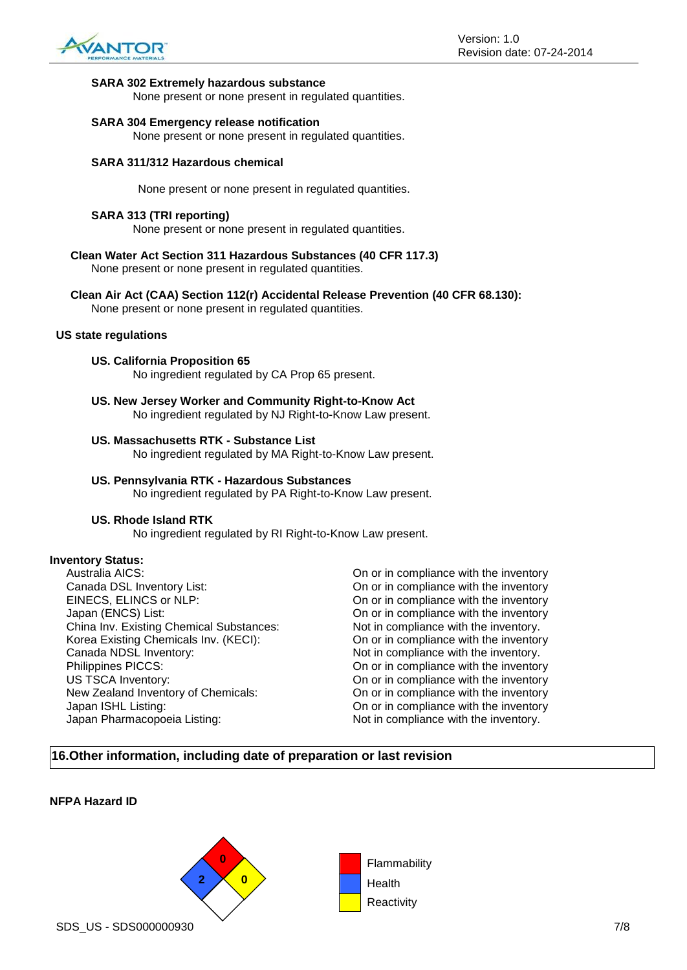

#### **SARA 302 Extremely hazardous substance**

None present or none present in regulated quantities.

#### **SARA 304 Emergency release notification**

None present or none present in regulated quantities.

#### **SARA 311/312 Hazardous chemical**

None present or none present in regulated quantities.

#### **SARA 313 (TRI reporting)**

None present or none present in regulated quantities.

- **Clean Water Act Section 311 Hazardous Substances (40 CFR 117.3)** None present or none present in regulated quantities.
- **Clean Air Act (CAA) Section 112(r) Accidental Release Prevention (40 CFR 68.130):**

None present or none present in regulated quantities.

#### **US state regulations**

**US. California Proposition 65**

No ingredient regulated by CA Prop 65 present.

**US. New Jersey Worker and Community Right-to-Know Act** No ingredient regulated by NJ Right-to-Know Law present.

#### **US. Massachusetts RTK - Substance List**

No ingredient regulated by MA Right-to-Know Law present.

#### **US. Pennsylvania RTK - Hazardous Substances** No ingredient regulated by PA Right-to-Know Law present.

#### **US. Rhode Island RTK**

No ingredient regulated by RI Right-to-Know Law present.

#### **Inventory Status:**

Australia AICS:<br>
Canada DSL Inventory List:<br>
On or in compliance with the inventory<br>
On or in compliance with the inventory EINECS, ELINCS or NLP: On or in compliance with the inventory Japan (ENCS) List: On or in compliance with the inventory China Inv. Existing Chemical Substances: Not in compliance with the inventory. Korea Existing Chemicals Inv. (KECI): On or in compliance with the inventory Canada NDSL Inventory:  $\blacksquare$  Not in compliance with the inventory. Philippines PICCS: On or in compliance with the inventory US TSCA Inventory: On or in compliance with the inventory New Zealand Inventory of Chemicals: On or in compliance with the inventory<br>Japan ISHL Listing: On or in compliance with the inventory Japan Pharmacopoeia Listing: Not in compliance with the inventory.

On or in compliance with the inventory On or in compliance with the inventory

### **16.Other information, including date of preparation or last revision**

#### **NFPA Hazard ID**